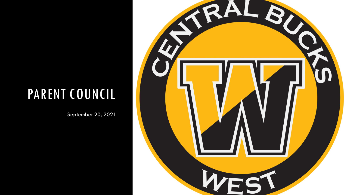## PARENT COUNCIL

September 20, 2021

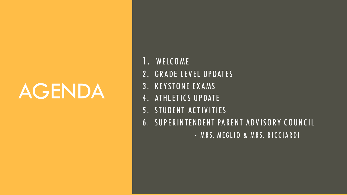# AGENDA

- 1. WELC OME
- 2. GRADE LEVEL UPDATES
- 3 . KEY STONE EX AMS
- 4. ATHLETICS UPDATE
- 5. STUDENT ACTIVITIES
- 6 . SUP ER INTENDENT PAR ENT ADV ISOR Y C OUNC IL
	- MRS. MEGLIO & MRS. RICCIARDI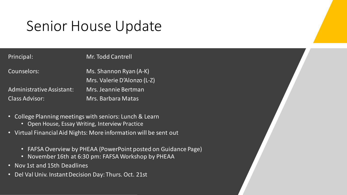## Senior House Update

Principal: Mr. Todd Cantrell

Counselors: Ms. Shannon Ryan (A-K) Mrs. Valerie D'Alonzo (L-Z) Administrative Assistant: Mrs. Jeannie Bertman Class Advisor: Mrs. Barbara Matas

- College Planning meetings with seniors: Lunch & Learn
	- Open House, Essay Writing, Interview Practice
- Virtual Financial Aid Nights: More information will be sent out
	- FAFSA Overview by PHEAA (PowerPoint posted on Guidance Page)
	- November 16th at 6:30 pm: FAFSA Workshop by PHEAA
- Nov 1st and 15th Deadlines
- Del Val Univ. Instant Decision Day: Thurs. Oct. 21st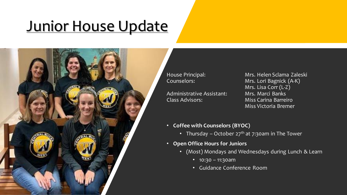## Junior House Update



Administrative Assistant: Mrs. Marci Banks Class Advisors: Miss Carina Barreiro

House Principal: Mrs. Helen Sclama Zaleski<br>Counselors: Mrs. Lori Bagnick (A-K) Mrs. Lori Bagnick (A-K) Mrs. Lisa Corr (L-Z) Miss Victoria Bremer

- **Coffee with Counselors (BYOC)**
	- Thursday October  $27<sup>th</sup>$  at 7:30am in The Tower
- **Open Office Hours for Juniors**
	- (Most) Mondays and Wednesdays during Lunch & Learn
		- 10:30 11:30am
		- Guidance Conference Room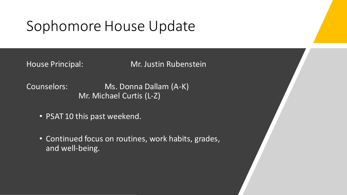## Sophomore House Update

House Principal: Mr. Justin Rubenstein

Counselors: Ms. Donna Dallam (A-K) Mr. Michael Curtis (L-Z)

- PSAT 10 this past weekend.
- Continued focus on routines, work habits, grades, and well-being.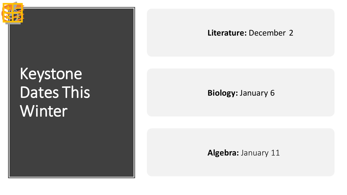# Keystone Dates This **Winter**

#### **Literature:** December 2

#### **Biology:** January 6

**Algebra:** January 11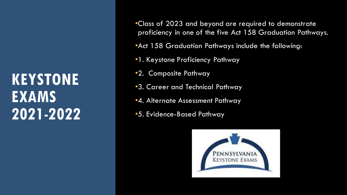## **KEYSTONE EXAMS 2021-2022**

- •Class of 2023 and beyond are required to demonstrate proficiency in one of the five Act 158 Graduation Pathways.
- •Act 158 Graduation Pathways include the following:
- •1. Keystone Proficiency Pathway
- •2. Composite Pathway
- •3. Career and Technical Pathway
- •4. Alternate Assessment Pathway
- •5. Evidence-Based Pathway

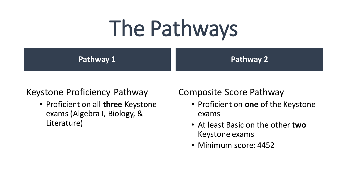# The Pathways

**Pathway 1**

**Pathway 2**

### Keystone Proficiency Pathway

• Proficient on all **three** Keystone exams (Algebra I, Biology, & Literature)

## Composite Score Pathway

- Proficient on **one** of the Keystone exams
- At least Basic on the other **two** Keystone exams
- Minimum score: 4452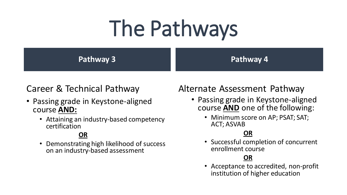# The Pathways

**Pathway 3**

#### **Pathway 4**

## Career & Technical Pathway

- Passing grade in Keystone-aligned course **AND:**
	- Attaining an industry-based competency certification

#### **OR**

• Demonstrating high likelihood of success on an industry-based assessment

## Alternate Assessment Pathway

- Passing grade in Keystone-aligned course **AND** one of the following:
	- Minimum score on AP; PSAT; SAT; ACT; ASVAB

#### **OR**

• Successful completion of concurrent enrollment course

#### **OR**

• Acceptance to accredited, non-profit institution of higher education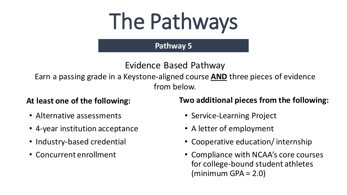# The Pathways

#### **Pathway 5**

## Evidence Based Pathway

Earn a passing grade in a Keystone-aligned course **AND** three pieces of evidence from below.

#### **At least one of the following:**

- Alternative assessments
- 4-year institution acceptance
- Industry-based credential
- Concurrent enrollment

#### **Two additional pieces from the following:**

- Service-Learning Project
- A letter of employment
- Cooperative education/ internship
- Compliance with NCAA's core courses for college-bound student athletes  $(\text{minimum} \text{ GPA} = 2.0)$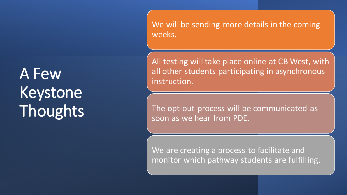A Few Keystone Thoughts We will be sending more details in the coming weeks.

All testing will take place online at CB West, with all other students participating in asynchronous instruction.

The opt-out process will be communicated as soon as we hear from PDE.

We are creating a process to facilitate and monitor which pathway students are fulfilling.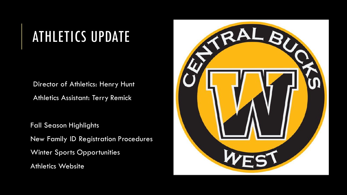# ATHLETICS UPDATE

Director of Athletics: Henry Hunt

Athletics Assistant: Terry Remick

Fall Season Highlights New Family ID Registration Procedures Winter Sports Opportunities Athletics Website

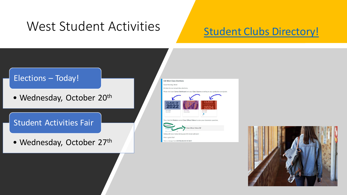## West Student Activities

## [Student Clubs Directory!](https://www.cbsd.org/site/Default.aspx?PageType=1&SiteID=30&ChannelID=458&DirectoryType=6)